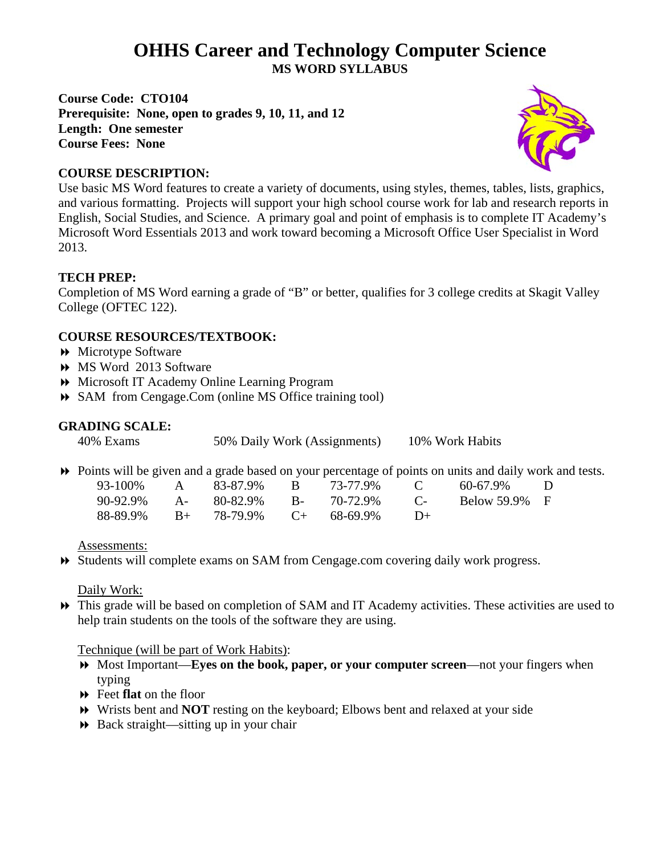# **OHHS Career and Technology Computer Science MS WORD SYLLABUS**

**Course Code: CTO104 Prerequisite: None, open to grades 9, 10, 11, and 12 Length: One semester Course Fees: None** 



### **COURSE DESCRIPTION:**

Use basic MS Word features to create a variety of documents, using styles, themes, tables, lists, graphics, and various formatting. Projects will support your high school course work for lab and research reports in English, Social Studies, and Science. A primary goal and point of emphasis is to complete IT Academy's Microsoft Word Essentials 2013 and work toward becoming a Microsoft Office User Specialist in Word 2013.

## **TECH PREP:**

Completion of MS Word earning a grade of "B" or better, qualifies for 3 college credits at Skagit Valley College (OFTEC 122).

#### **COURSE RESOURCES/TEXTBOOK:**

- Microtype Software
- MS Word 2013 Software
- Microsoft IT Academy Online Learning Program
- SAM from Cengage.Com (online MS Office training tool)

#### **GRADING SCALE:**

40% Exams 50% Daily Work (Assignments) 10% Work Habits

Points will be given and a grade based on your percentage of points on units and daily work and tests.

| $93 - 100\%$ | $\mathbf{A}$ | 83-87.9%                            | $\mathbf{R}$ | 73-77.9% | $\mathbb{C}$ | 60-67.9%      | $\Box$ |
|--------------|--------------|-------------------------------------|--------------|----------|--------------|---------------|--------|
|              |              | 90-92.9% A- 80-82.9% B- 70-72.9%    |              |          | $\Gamma$     | Below 59.9% F |        |
|              |              | $88-89.9\%$ B+ 78-79.9% C+ 68-69.9% |              |          | $\Box$       |               |        |

Assessments:

Students will complete exams on SAM from Cengage.com covering daily work progress.

Daily Work:

 This grade will be based on completion of SAM and IT Academy activities. These activities are used to help train students on the tools of the software they are using.

#### Technique (will be part of Work Habits):

- Most Important—**Eyes on the book, paper, or your computer screen**—not your fingers when typing
- Feet **flat** on the floor
- Wrists bent and **NOT** resting on the keyboard; Elbows bent and relaxed at your side
- $\rightarrow$  Back straight—sitting up in your chair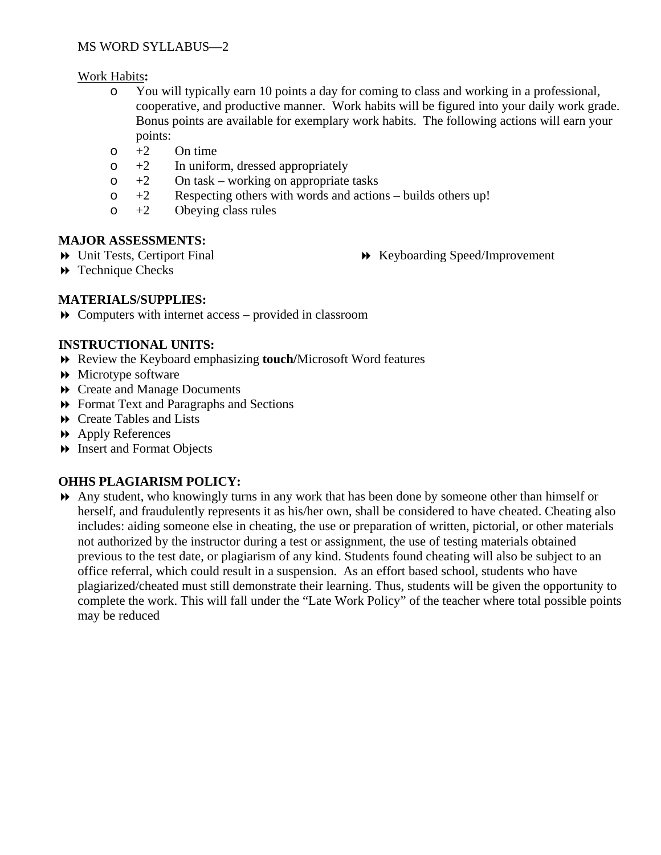#### Work Habits**:**

- o You will typically earn 10 points a day for coming to class and working in a professional, cooperative, and productive manner. Work habits will be figured into your daily work grade. Bonus points are available for exemplary work habits. The following actions will earn your points:
- $\circ$  +2 On time
- $\circ$  +2 In uniform, dressed appropriately
- $\circ$  +2 On task working on appropriate tasks
- $\circ$  +2 Respecting others with words and actions builds others up!
- $\circ$  +2 Obeying class rules

#### **MAJOR ASSESSMENTS:**

Unit Tests, Certiport Final

Keyboarding Speed/Improvement

**Exercise Checks** 

## **MATERIALS/SUPPLIES:**

Computers with internet access – provided in classroom

#### **INSTRUCTIONAL UNITS:**

- Review the Keyboard emphasizing **touch/**Microsoft Word features
- Microtype software
- Create and Manage Documents
- Format Text and Paragraphs and Sections
- Create Tables and Lists
- Apply References
- Insert and Format Objects

#### **OHHS PLAGIARISM POLICY:**

 Any student, who knowingly turns in any work that has been done by someone other than himself or herself, and fraudulently represents it as his/her own, shall be considered to have cheated. Cheating also includes: aiding someone else in cheating, the use or preparation of written, pictorial, or other materials not authorized by the instructor during a test or assignment, the use of testing materials obtained previous to the test date, or plagiarism of any kind. Students found cheating will also be subject to an office referral, which could result in a suspension. As an effort based school, students who have plagiarized/cheated must still demonstrate their learning. Thus, students will be given the opportunity to complete the work. This will fall under the "Late Work Policy" of the teacher where total possible points may be reduced